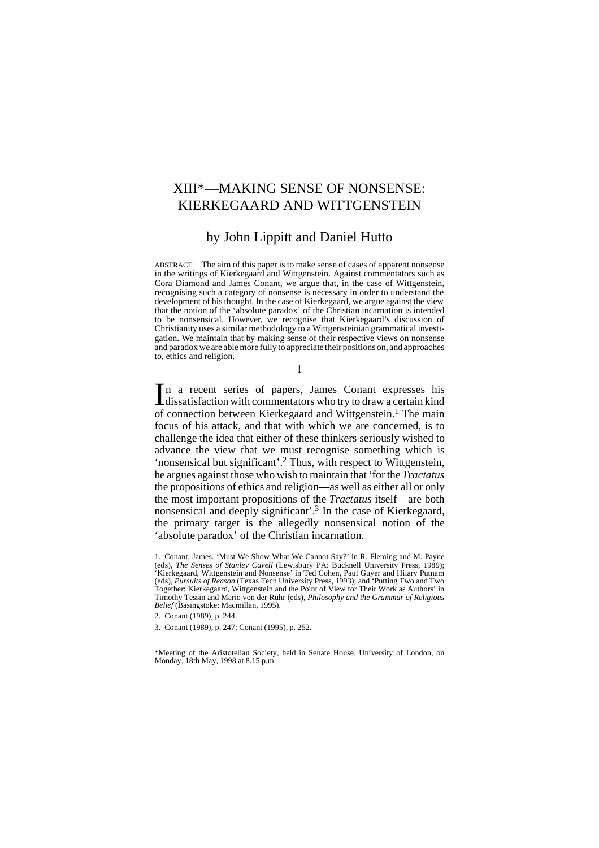# XIII\*—MAKING SENSE OF NONSENSE: KIERKEGAARD AND WITTGENSTEIN

# by John Lippitt and Daniel Hutto

ABSTRACT The aim of this paper is to make sense of cases of apparent nonsense in the writings of Kierkegaard and Wittgenstein. Against commentators such as Cora Diamond and James Conant, we argue that, in the case of Wittgenstein, recognising such a category of nonsense is necessary in order to understand the development of his thought. In the case of Kierkegaard, we argue against the view that the notion of the 'absolute paradox' of the Christian incarnation is intended to be nonsensical. However, we recognise that Kierkegaard's discussion of Christianity uses a similar methodology to a Wittgensteinian grammatical investigation. We maintain that by making sense of their respective views on nonsense and paradox we are able more fully to appreciate their positions on, and approaches to, ethics and religion.

### I

 $\prod$ n a recent series of papers, James Conant expresses his dissatisfaction with commentators who try to draw a certain kind of connection between Kierkegaard and Wittgenstein.<sup>1</sup> The main focus of his attack, and that with which we are concerned, is to challenge the idea that either of these thinkers seriously wished to advance the view that we must recognise something which is 'nonsensical but significant'.2 Thus, with respect to Wittgenstein, he argues against those who wish to maintain that 'for the *Tractatus* the propositions of ethics and religion—as well as either all or only the most important propositions of the *Tractatus* itself—are both nonsensical and deeply significant'.3 In the case of Kierkegaard, the primary target is the allegedly nonsensical notion of the 'absolute paradox' of the Christian incarnation.

1. Conant, James. 'Must We Show What We Cannot Say?' in R. Fleming and M. Payne (eds), *The Senses of Stanley Cavell* (Lewisbury PA: Bucknell University Press, 1989); 'Kierkegaard, Wittgenstein and Nonsense' in Ted Cohen, Paul Guyer and Hilary Putnam (eds), *Pursuits of Reason* (Texas Tech University Press, 1993); and 'Putting Two and Two Together: Kierkegaard, Wittgenstein and the Point of View for Their Work as Authors' in Timothy Tessin and Mario von der Ruhr (eds), *Philosophy and the Grammar of Religious Belief* (Basingstoke: Macmillan, 1995).

\*Meeting of the Aristotelian Society, held in Senate House, University of London, on Monday, 18th May, 1998 at 8.15 p.m.

<sup>2.</sup> Conant (1989), p. 244.

<sup>3.</sup> Conant (1989), p. 247; Conant (1995), p. 252.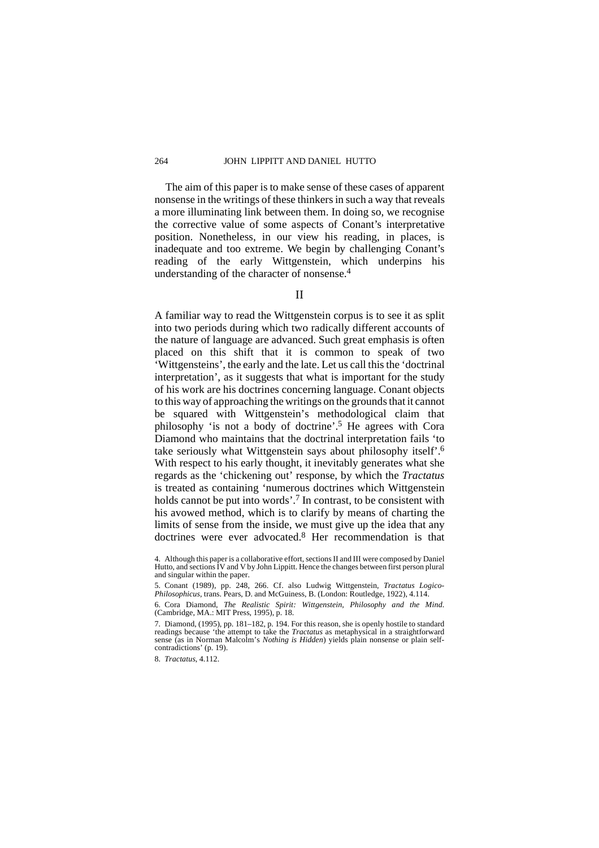The aim of this paper is to make sense of these cases of apparent nonsense in the writings of these thinkers in such a way that reveals a more illuminating link between them. In doing so, we recognise the corrective value of some aspects of Conant's interpretative position. Nonetheless, in our view his reading, in places, is inadequate and too extreme. We begin by challenging Conant's reading of the early Wittgenstein, which underpins his understanding of the character of nonsense.4

#### II

A familiar way to read the Wittgenstein corpus is to see it as split into two periods during which two radically different accounts of the nature of language are advanced. Such great emphasis is often placed on this shift that it is common to speak of two 'Wittgensteins', the early and the late. Let us call this the 'doctrinal interpretation', as it suggests that what is important for the study of his work are his doctrines concerning language. Conant objects to this way of approaching the writings on the grounds that it cannot be squared with Wittgenstein's methodological claim that philosophy 'is not a body of doctrine'.5 He agrees with Cora Diamond who maintains that the doctrinal interpretation fails 'to take seriously what Wittgenstein says about philosophy itself'.6 With respect to his early thought, it inevitably generates what she regards as the 'chickening out' response, by which the *Tractatus* is treated as containing 'numerous doctrines which Wittgenstein holds cannot be put into words'.<sup>7</sup> In contrast, to be consistent with his avowed method, which is to clarify by means of charting the limits of sense from the inside, we must give up the idea that any doctrines were ever advocated.<sup>8</sup> Her recommendation is that

- 4. Although this paper is a collaborative effort, sections II and III were composed by Daniel Hutto, and sections IV and V by John Lippitt. Hence the changes between first person plural and singular within the paper.
- 5. Conant (1989), pp. 248, 266. Cf. also Ludwig Wittgenstein, *Tractatus Logico-Philosophicus*, trans. Pears, D. and McGuiness, B. (London: Routledge, 1922), 4.114.
- 6. Cora Diamond, *The Realistic Spirit: Wittgenstein, Philosophy and the Mind*. (Cambridge, MA.: MIT Press, 1995), p. 18.

8. *Tractatus*, 4.112.

<sup>7.</sup> Diamond, (1995), pp. 181–182, p. 194. For this reason, she is openly hostile to standard readings because 'the attempt to take the *Tractatus* as metaphysical in a straightforward sense (as in Norman Malcolm's *Nothing is Hidden*) yields plain nonsense or plain selfcontradictions' (p. 19).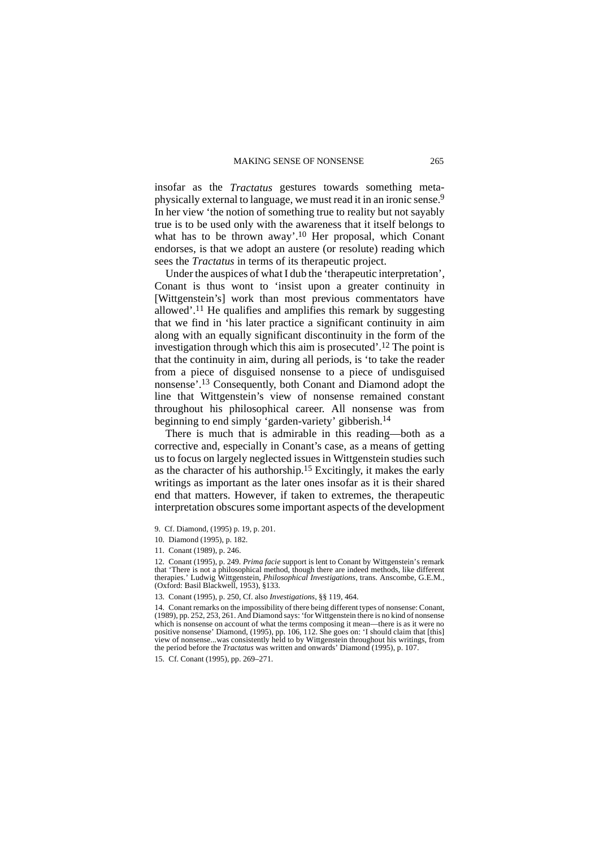insofar as the *Tractatus* gestures towards something metaphysically external to language, we must read it in an ironic sense.9 In her view 'the notion of something true to reality but not sayably true is to be used only with the awareness that it itself belongs to what has to be thrown away'.<sup>10</sup> Her proposal, which Conant endorses, is that we adopt an austere (or resolute) reading which sees the *Tractatus* in terms of its therapeutic project.

Under the auspices of what I dub the 'therapeutic interpretation', Conant is thus wont to 'insist upon a greater continuity in [Wittgenstein's] work than most previous commentators have allowed'.<sup>11</sup> He qualifies and amplifies this remark by suggesting that we find in 'his later practice a significant continuity in aim along with an equally significant discontinuity in the form of the investigation through which this aim is prosecuted'.12 The point is that the continuity in aim, during all periods, is 'to take the reader from a piece of disguised nonsense to a piece of undisguised nonsense'.13 Consequently, both Conant and Diamond adopt the line that Wittgenstein's view of nonsense remained constant throughout his philosophical career. All nonsense was from beginning to end simply 'garden-variety' gibberish.<sup>14</sup>

There is much that is admirable in this reading—both as a corrective and, especially in Conant's case, as a means of getting us to focus on largely neglected issues in Wittgenstein studies such as the character of his authorship.15 Excitingly, it makes the early writings as important as the later ones insofar as it is their shared end that matters. However, if taken to extremes, the therapeutic interpretation obscures some important aspects of the development

11. Conant (1989), p. 246.

12. Conant (1995), p. 249. *Prima facie* support is lent to Conant by Wittgenstein's remark that 'There is not a philosophical method, though there are indeed methods, like different therapies.' Ludwig Wittgenstein, *Philosophical Investigations*, trans. Anscombe, G.E.M., (Oxford: Basil Blackwell, 1953), §133.

13. Conant (1995), p. 250, Cf. also *Investigations*, §§ 119, 464.

14. Conant remarks on the impossibility of there being different types of nonsense: Conant, (1989), pp. 252, 253, 261. And Diamond says: 'for Wittgenstein there is no kind of nonsense which is nonsense on account of what the terms composing it mean—there is as it were no positive nonsense' Diamond, (1995), pp. 106, 112. She goes on: 'I should claim that [this] view of nonsense...was consistently held to by Wittgenstein throughout his writings, from the period before the *Tractatus* was written and onwards' Diamond (1995), p. 107.

15. Cf. Conant (1995), pp. 269–271.

<sup>9.</sup> Cf. Diamond, (1995) p. 19, p. 201.

<sup>10.</sup> Diamond (1995), p. 182.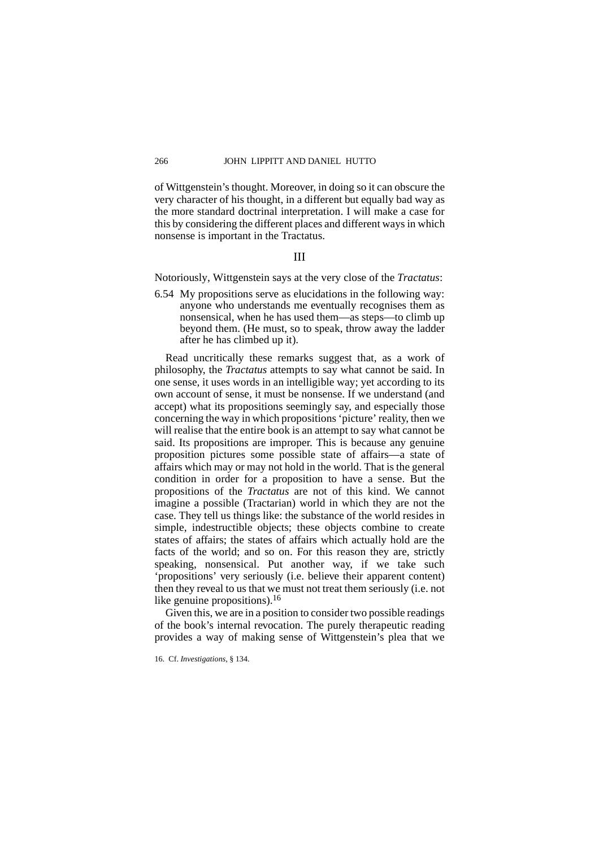of Wittgenstein's thought. Moreover, in doing so it can obscure the very character of his thought, in a different but equally bad way as the more standard doctrinal interpretation. I will make a case for this by considering the different places and different ways in which nonsense is important in the Tractatus.

### III

Notoriously, Wittgenstein says at the very close of the *Tractatus*:

6.54 My propositions serve as elucidations in the following way: anyone who understands me eventually recognises them as nonsensical, when he has used them—as steps—to climb up beyond them. (He must, so to speak, throw away the ladder after he has climbed up it).

Read uncritically these remarks suggest that, as a work of philosophy, the *Tractatus* attempts to say what cannot be said. In one sense, it uses words in an intelligible way; yet according to its own account of sense, it must be nonsense. If we understand (and accept) what its propositions seemingly say, and especially those concerning the way in which propositions 'picture' reality, then we will realise that the entire book is an attempt to say what cannot be said. Its propositions are improper. This is because any genuine proposition pictures some possible state of affairs—a state of affairs which may or may not hold in the world. That is the general condition in order for a proposition to have a sense. But the propositions of the *Tractatus* are not of this kind. We cannot imagine a possible (Tractarian) world in which they are not the case. They tell us things like: the substance of the world resides in simple, indestructible objects; these objects combine to create states of affairs; the states of affairs which actually hold are the facts of the world; and so on. For this reason they are, strictly speaking, nonsensical. Put another way, if we take such 'propositions' very seriously (i.e. believe their apparent content) then they reveal to us that we must not treat them seriously (i.e. not like genuine propositions).<sup>16</sup>

Given this, we are in a position to consider two possible readings of the book's internal revocation. The purely therapeutic reading provides a way of making sense of Wittgenstein's plea that we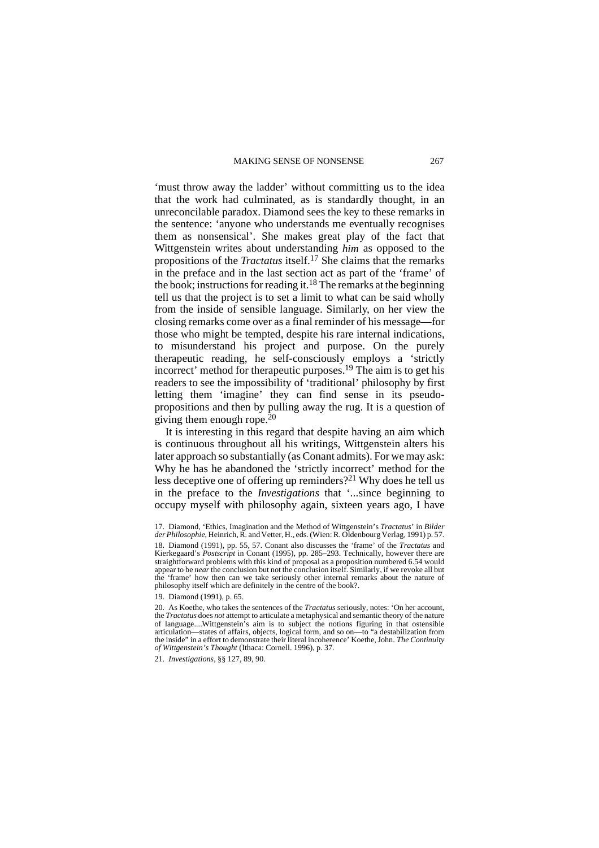'must throw away the ladder' without committing us to the idea that the work had culminated, as is standardly thought, in an unreconcilable paradox. Diamond sees the key to these remarks in the sentence: 'anyone who understands me eventually recognises them as nonsensical'. She makes great play of the fact that Wittgenstein writes about understanding *him* as opposed to the propositions of the *Tractatus* itself.17 She claims that the remarks in the preface and in the last section act as part of the 'frame' of the book; instructions for reading it.<sup>18</sup> The remarks at the beginning tell us that the project is to set a limit to what can be said wholly from the inside of sensible language. Similarly, on her view the closing remarks come over as a final reminder of his message—for those who might be tempted, despite his rare internal indications, to misunderstand his project and purpose. On the purely therapeutic reading, he self-consciously employs a 'strictly incorrect' method for therapeutic purposes.19 The aim is to get his readers to see the impossibility of 'traditional' philosophy by first letting them 'imagine' they can find sense in its pseudopropositions and then by pulling away the rug. It is a question of giving them enough rope. $20$ 

It is interesting in this regard that despite having an aim which is continuous throughout all his writings, Wittgenstein alters his later approach so substantially (as Conant admits). For we may ask: Why he has he abandoned the 'strictly incorrect' method for the less deceptive one of offering up reminders?21 Why does he tell us in the preface to the *Investigations* that '...since beginning to occupy myself with philosophy again, sixteen years ago, I have

19. Diamond (1991), p. 65.

21. *Investigations*, §§ 127, 89, 90.

<sup>17.</sup> Diamond, 'Ethics, Imagination and the Method of Wittgenstein's *Tractatus*' in *Bilder der Philosophie*, Heinrich, R. and Vetter, H., eds. (Wien: R. Oldenbourg Verlag, 1991) p. 57. 18. Diamond (1991), pp. 55, 57. Conant also discusses the 'frame' of the *Tractatus* and Kierkegaard's *Postscript* in Conant (1995), pp. 285–293. Technically, however there are straightforward problems with this kind of proposal as a proposition numbered 6.54 would appear to be *near* the conclusion but not the conclusion itself. Similarly, if we revoke all but the 'frame' how then can we take seriously other internal remarks about the nature of philosophy itself which are definitely in the centre of the book?.

<sup>20.</sup> As Koethe, who takes the sentences of the *Tractatus* seriously, notes: 'On her account, the *Tractatus* does *not* attempt to articulate a metaphysical and semantic theory of the nature of language....Wittgenstein's aim is to subject the notions figuring in that ostensible articulation—states of affairs, objects, logical form, and so on—to "a destabilization from the inside" in a effort to demonstrate their literal incoherence' Koethe, John. *The Continuity of Wittgenstein's Thought* (Ithaca: Cornell. 1996), p. 37.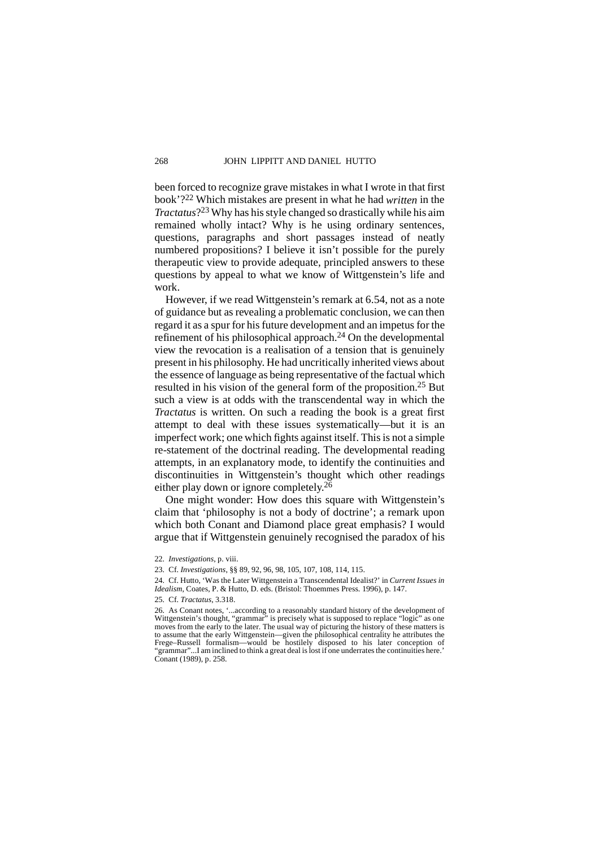been forced to recognize grave mistakes in what I wrote in that first book'?22 Which mistakes are present in what he had *written* in the *Tractatus*?23 Why has his style changed so drastically while his aim remained wholly intact? Why is he using ordinary sentences, questions, paragraphs and short passages instead of neatly numbered propositions? I believe it isn't possible for the purely therapeutic view to provide adequate, principled answers to these questions by appeal to what we know of Wittgenstein's life and work.

However, if we read Wittgenstein's remark at 6.54, not as a note of guidance but as revealing a problematic conclusion, we can then regard it as a spur for his future development and an impetus for the refinement of his philosophical approach.24 On the developmental view the revocation is a realisation of a tension that is genuinely present in his philosophy. He had uncritically inherited views about the essence of language as being representative of the factual which resulted in his vision of the general form of the proposition.<sup>25</sup> But such a view is at odds with the transcendental way in which the *Tractatus* is written. On such a reading the book is a great first attempt to deal with these issues systematically—but it is an imperfect work; one which fights against itself. This is not a simple re-statement of the doctrinal reading. The developmental reading attempts, in an explanatory mode, to identify the continuities and discontinuities in Wittgenstein's thought which other readings either play down or ignore completely.26

One might wonder: How does this square with Wittgenstein's claim that 'philosophy is not a body of doctrine'; a remark upon which both Conant and Diamond place great emphasis? I would argue that if Wittgenstein genuinely recognised the paradox of his

22. *Investigations*, p. viii.

23. Cf. *Investigations*, §§ 89, 92, 96, 98, 105, 107, 108, 114, 115.

24. Cf. Hutto, 'Was the Later Wittgenstein a Transcendental Idealist?' in *Current Issues in Idealism*, Coates, P. & Hutto, D. eds. (Bristol: Thoemmes Press. 1996), p. 147.

25. Cf. *Tractatus*, 3.318.

<sup>26.</sup> As Conant notes, '...according to a reasonably standard history of the development of Wittgenstein's thought, "grammar" is precisely what is supposed to replace "logic" as one moves from the early to the later. The usual way of picturing the history of these matters is to assume that the early Wittgenstein—given the philosophical centrality he attributes the Frege–Russell formalism—would be hostilely disposed to his later conception of "grammar"...I am inclined to think a great deal is lost if one underrates the continuities here.' Conant (1989), p. 258.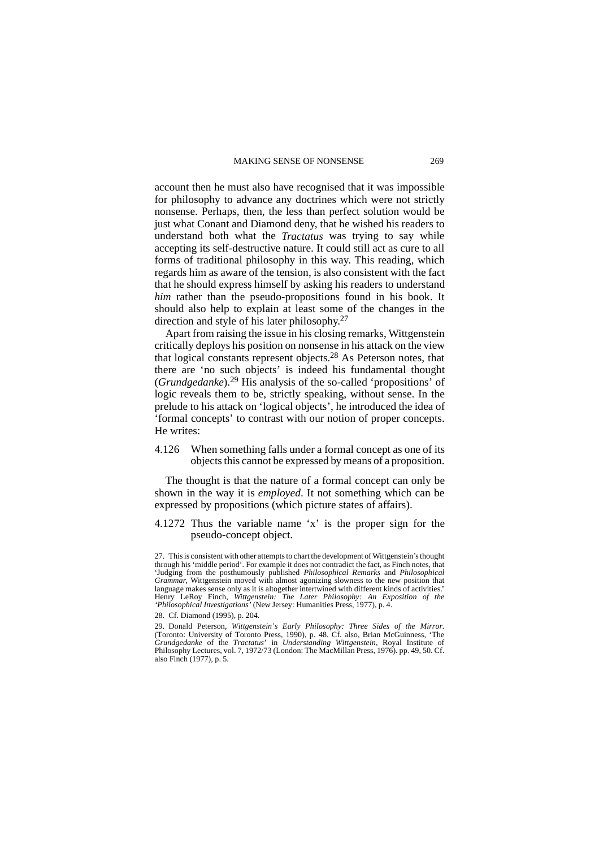account then he must also have recognised that it was impossible for philosophy to advance any doctrines which were not strictly nonsense. Perhaps, then, the less than perfect solution would be just what Conant and Diamond deny, that he wished his readers to understand both what the *Tractatus* was trying to say while accepting its self-destructive nature. It could still act as cure to all forms of traditional philosophy in this way. This reading, which regards him as aware of the tension, is also consistent with the fact that he should express himself by asking his readers to understand *him* rather than the pseudo-propositions found in his book. It should also help to explain at least some of the changes in the direction and style of his later philosophy.27

Apart from raising the issue in his closing remarks, Wittgenstein critically deploys his position on nonsense in his attack on the view that logical constants represent objects.28 As Peterson notes, that there are 'no such objects' is indeed his fundamental thought (*Grundgedanke*).29 His analysis of the so-called 'propositions' of logic reveals them to be, strictly speaking, without sense. In the prelude to his attack on 'logical objects', he introduced the idea of 'formal concepts' to contrast with our notion of proper concepts. He writes:

4.126 When something falls under a formal concept as one of its objects this cannot be expressed by means of a proposition.

The thought is that the nature of a formal concept can only be shown in the way it is *employed*. It not something which can be expressed by propositions (which picture states of affairs).

4.1272 Thus the variable name 'x' is the proper sign for the pseudo-concept object.

<sup>27.</sup> This is consistent with other attempts to chart the development of Wittgenstein's thought through his 'middle period'. For example it does not contradict the fact, as Finch notes, that 'Judging from the posthumously published *Philosophical Remarks* and *Philosophical Grammar*, Wittgenstein moved with almost agonizing slowness to the new position that language makes sense only as it is altogether intertwined with different kinds of activities.' Henry LeRoy Finch, *Wittgenstein: The Later Philosophy: An Exposition of the 'Philosophical Investigations'* (New Jersey: Humanities Press, 1977), p. 4.

<sup>28.</sup> Cf. Diamond (1995), p. 204.

<sup>29.</sup> Donald Peterson, *Wittgenstein's Early Philosophy: Three Sides of the Mirror.* (Toronto: University of Toronto Press, 1990), p. 48. Cf. also, Brian McGuinness, 'The *Grundgedanke* of the *Tractatus*' in *Understanding Wittgenstein,* Royal Institute of Philosophy Lectures, vol. 7, 1972/73 (London: The MacMillan Press, 1976). pp. 49, 50. Cf. also Finch (1977), p. 5.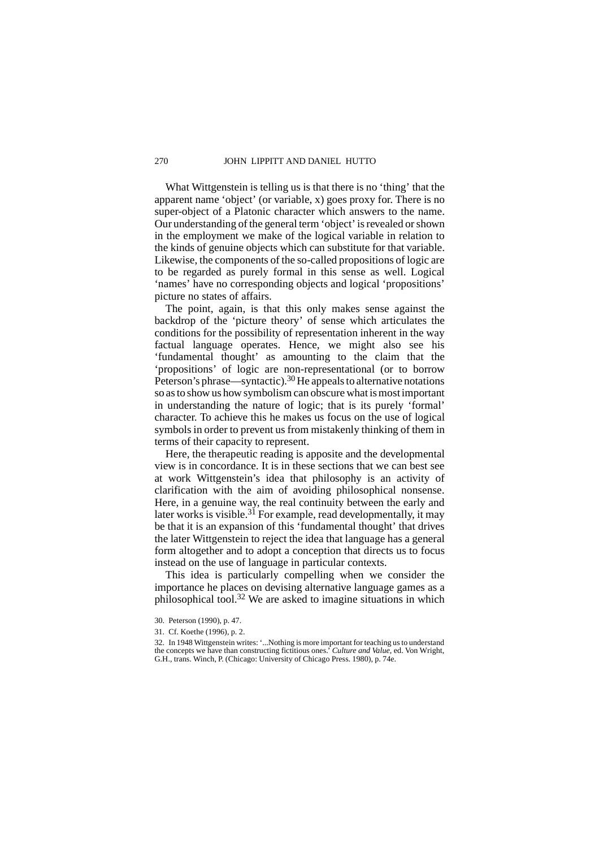What Wittgenstein is telling us is that there is no 'thing' that the apparent name 'object' (or variable, x) goes proxy for. There is no super-object of a Platonic character which answers to the name. Our understanding of the general term 'object' is revealed or shown in the employment we make of the logical variable in relation to the kinds of genuine objects which can substitute for that variable. Likewise, the components of the so-called propositions of logic are to be regarded as purely formal in this sense as well. Logical 'names' have no corresponding objects and logical 'propositions' picture no states of affairs.

The point, again, is that this only makes sense against the backdrop of the 'picture theory' of sense which articulates the conditions for the possibility of representation inherent in the way factual language operates. Hence, we might also see his 'fundamental thought' as amounting to the claim that the 'propositions' of logic are non-representational (or to borrow Peterson's phrase—syntactic).<sup>30</sup> He appeals to alternative notations so as to show us how symbolism can obscure what is most important in understanding the nature of logic; that is its purely 'formal' character. To achieve this he makes us focus on the use of logical symbols in order to prevent us from mistakenly thinking of them in terms of their capacity to represent.

Here, the therapeutic reading is apposite and the developmental view is in concordance. It is in these sections that we can best see at work Wittgenstein's idea that philosophy is an activity of clarification with the aim of avoiding philosophical nonsense. Here, in a genuine way, the real continuity between the early and later works is visible.<sup>31</sup> For example, read developmentally, it may be that it is an expansion of this 'fundamental thought' that drives the later Wittgenstein to reject the idea that language has a general form altogether and to adopt a conception that directs us to focus instead on the use of language in particular contexts.

This idea is particularly compelling when we consider the importance he places on devising alternative language games as a philosophical tool.32 We are asked to imagine situations in which

<sup>30.</sup> Peterson (1990), p. 47.

<sup>31.</sup> Cf. Koethe (1996), p. 2.

<sup>32.</sup> In 1948 Wittgenstein writes: '...Nothing is more important for teaching us to understand the concepts we have than constructing fictitious ones.' *Culture and Value*, ed. Von Wright, G.H., trans. Winch, P. (Chicago: University of Chicago Press. 1980), p. 74e.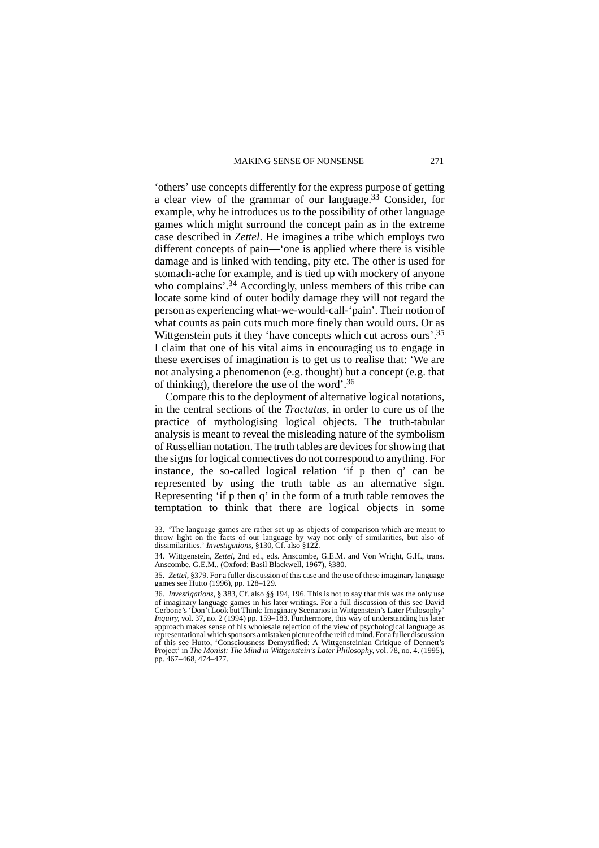'others' use concepts differently for the express purpose of getting a clear view of the grammar of our language.33 Consider, for example, why he introduces us to the possibility of other language games which might surround the concept pain as in the extreme case described in *Zettel*. He imagines a tribe which employs two different concepts of pain—'one is applied where there is visible damage and is linked with tending, pity etc. The other is used for stomach-ache for example, and is tied up with mockery of anyone who complains'.<sup>34</sup> Accordingly, unless members of this tribe can locate some kind of outer bodily damage they will not regard the person as experiencing what-we-would-call-'pain'. Their notion of what counts as pain cuts much more finely than would ours. Or as Wittgenstein puts it they 'have concepts which cut across ours'.<sup>35</sup> I claim that one of his vital aims in encouraging us to engage in these exercises of imagination is to get us to realise that: 'We are not analysing a phenomenon (e.g. thought) but a concept (e.g. that of thinking), therefore the use of the word'.36

Compare this to the deployment of alternative logical notations, in the central sections of the *Tractatus*, in order to cure us of the practice of mythologising logical objects. The truth-tabular analysis is meant to reveal the misleading nature of the symbolism of Russellian notation. The truth tables are devices for showing that the signs for logical connectives do not correspond to anything. For instance, the so-called logical relation 'if p then q' can be represented by using the truth table as an alternative sign. Representing 'if p then q' in the form of a truth table removes the temptation to think that there are logical objects in some

<sup>33. &#</sup>x27;The language games are rather set up as objects of comparison which are meant to throw light on the facts of our language by way not only of similarities, but also of dissimilarities.' *Investigations*, §130, Cf. also §122.

<sup>34.</sup> Wittgenstein, *Zettel*, 2nd ed., eds. Anscombe, G.E.M. and Von Wright, G.H., trans. Anscombe, G.E.M., (Oxford: Basil Blackwell, 1967), §380.

<sup>35.</sup> *Zettel*, §379. For a fuller discussion of this case and the use of these imaginary language games see Hutto (1996), pp. 128–129.

<sup>36.</sup> *Investigations*, § 383, Cf. also §§ 194, 196. This is not to say that this was the only use of imaginary language games in his later writings. For a full discussion of this see David Cerbone's 'Don't Look but Think: Imaginary Scenarios in Wittgenstein's Later Philosophy' *Inquiry*, vol. 37, no. 2 (1994) pp. 159–183. Furthermore, this way of understanding his later approach makes sense of his wholesale rejection of the view of psychological language as representational which sponsors a mistaken picture of the reified mind. For a fuller discussion of this see Hutto, 'Consciousness Demystified: A Wittgensteinian Critique of Dennett's Project' in *The Monist: The Mind in Wittgenstein's Later Philosophy*, vol. 78, no. 4. (1995), pp. 467–468, 474–477.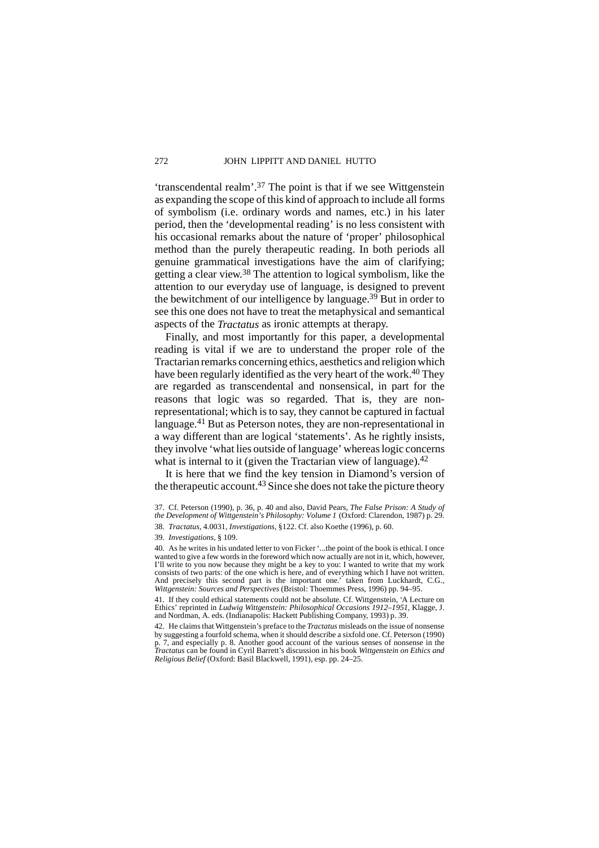'transcendental realm'.37 The point is that if we see Wittgenstein as expanding the scope of this kind of approach to include all forms of symbolism (i.e. ordinary words and names, etc.) in his later period, then the 'developmental reading' is no less consistent with his occasional remarks about the nature of 'proper' philosophical method than the purely therapeutic reading. In both periods all genuine grammatical investigations have the aim of clarifying; getting a clear view.<sup>38</sup> The attention to logical symbolism, like the attention to our everyday use of language, is designed to prevent the bewitchment of our intelligence by language.<sup>39</sup> But in order to see this one does not have to treat the metaphysical and semantical aspects of the *Tractatus* as ironic attempts at therapy.

Finally, and most importantly for this paper, a developmental reading is vital if we are to understand the proper role of the Tractarian remarks concerning ethics, aesthetics and religion which have been regularly identified as the very heart of the work.<sup>40</sup> They are regarded as transcendental and nonsensical, in part for the reasons that logic was so regarded. That is, they are nonrepresentational; which is to say, they cannot be captured in factual language.<sup>41</sup> But as Peterson notes, they are non-representational in a way different than are logical 'statements'. As he rightly insists, they involve 'what lies outside of language' whereas logic concerns what is internal to it (given the Tractarian view of language). $42$ 

It is here that we find the key tension in Diamond's version of the therapeutic account.<sup>43</sup> Since she does not take the picture theory

37. Cf. Peterson (1990), p. 36, p. 40 and also, David Pears, *The False Prison: A Study of the Development of Wittgenstein's Philosophy: Volume 1* (Oxford: Clarendon, 1987) p. 29. 38. *Tractatus*, 4.0031, *Investigations*, §122. Cf. also Koethe (1996), p. 60.

39. *Investigations*, § 109.

40. As he writes in his undated letter to von Ficker '...the point of the book is ethical. I once wanted to give a few words in the foreword which now actually are not in it, which, however, I'll write to you now because they might be a key to you: I wanted to write that my work consists of two parts: of the one which is here, and of everything which I have not written. And precisely this second part is the important one.' taken from Luckhardt, C.G., *Wittgenstein: Sources and Perspectives* (Bristol: Thoemmes Press, 1996) pp. 94–95.

41. If they could ethical statements could not be absolute. Cf. Wittgenstein, 'A Lecture on Ethics' reprinted in *Ludwig Wittgenstein: Philosophical Occasions 1912–1951*, Klagge, J. and Nordman, A. eds. (Indianapolis: Hackett Publishing Company, 1993) p. 39.

42. He claims that Wittgenstein's preface to the *Tractatus* misleads on the issue of nonsense by suggesting a fourfold schema, when it should describe a sixfold one. Cf. Peterson (1990) p. 7, and especially p. 8. Another good account of the various senses of nonsense in the *Tractatus* can be found in Cyril Barrett's discussion in his book *Wittgenstein on Ethics and Religious Belief* (Oxford: Basil Blackwell, 1991), esp. pp. 24–25.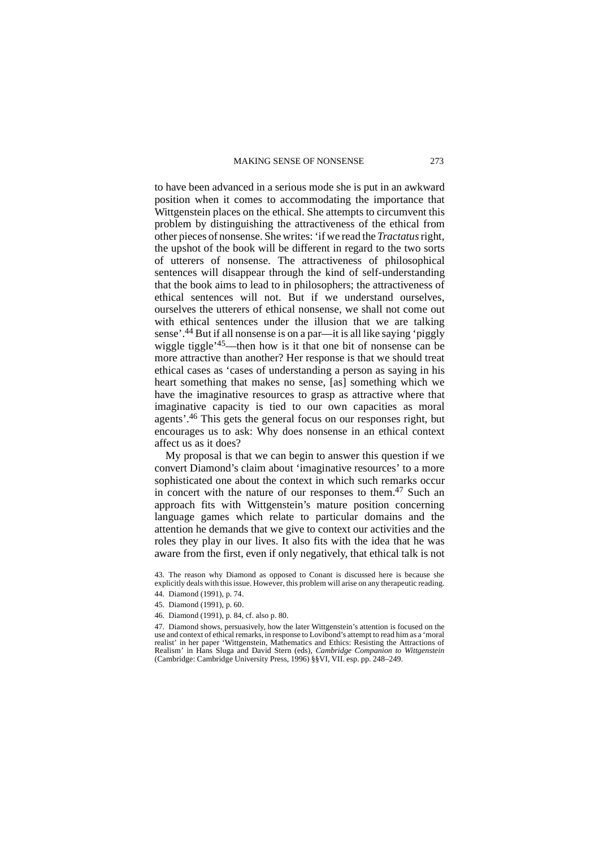to have been advanced in a serious mode she is put in an awkward position when it comes to accommodating the importance that Wittgenstein places on the ethical. She attempts to circumvent this problem by distinguishing the attractiveness of the ethical from other pieces of nonsense. She writes: 'if we read the *Tractatus* right, the upshot of the book will be different in regard to the two sorts of utterers of nonsense. The attractiveness of philosophical sentences will disappear through the kind of self-understanding that the book aims to lead to in philosophers; the attractiveness of ethical sentences will not. But if we understand ourselves, ourselves the utterers of ethical nonsense, we shall not come out with ethical sentences under the illusion that we are talking sense'.44 But if all nonsense is on a par—it is all like saying 'piggly wiggle tiggle<sup>-45</sup>—then how is it that one bit of nonsense can be more attractive than another? Her response is that we should treat ethical cases as 'cases of understanding a person as saying in his heart something that makes no sense, [as] something which we have the imaginative resources to grasp as attractive where that imaginative capacity is tied to our own capacities as moral agents'.46 This gets the general focus on our responses right, but encourages us to ask: Why does nonsense in an ethical context affect us as it does?

My proposal is that we can begin to answer this question if we convert Diamond's claim about 'imaginative resources' to a more sophisticated one about the context in which such remarks occur in concert with the nature of our responses to them.47 Such an approach fits with Wittgenstein's mature position concerning language games which relate to particular domains and the attention he demands that we give to context our activities and the roles they play in our lives. It also fits with the idea that he was aware from the first, even if only negatively, that ethical talk is not

<sup>43.</sup> The reason why Diamond as opposed to Conant is discussed here is because she explicitly deals with this issue. However, this problem will arise on any therapeutic reading.

<sup>44.</sup> Diamond (1991), p. 74.

<sup>45.</sup> Diamond (1991), p. 60.

<sup>46.</sup> Diamond (1991), p. 84, cf. also p. 80.

<sup>47.</sup> Diamond shows, persuasively, how the later Wittgenstein's attention is focused on the use and context of ethical remarks, in response to Lovibond's attempt to read him as a 'moral realist' in her paper 'Wittgenstein, Mathematics and Ethics: Resisting the Attractions of Realism' in Hans Sluga and David Stern (eds), *Cambridge Companion to Wittgenstein* (Cambridge: Cambridge University Press, 1996) §§VI, VII. esp. pp. 248–249.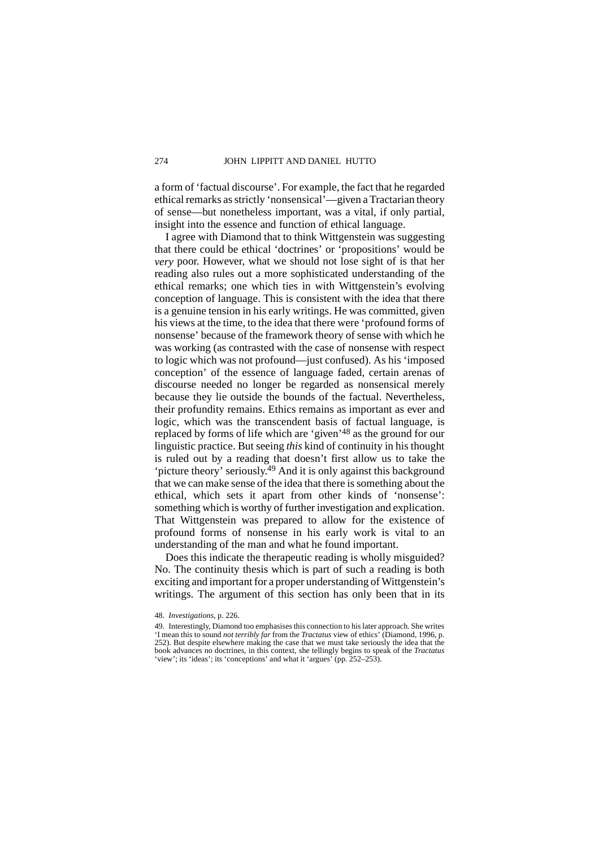a form of 'factual discourse'. For example, the fact that he regarded ethical remarks as strictly 'nonsensical'—given a Tractarian theory of sense—but nonetheless important, was a vital, if only partial, insight into the essence and function of ethical language.

I agree with Diamond that to think Wittgenstein was suggesting that there could be ethical 'doctrines' or 'propositions' would be *very* poor. However, what we should not lose sight of is that her reading also rules out a more sophisticated understanding of the ethical remarks; one which ties in with Wittgenstein's evolving conception of language. This is consistent with the idea that there is a genuine tension in his early writings. He was committed, given his views at the time, to the idea that there were 'profound forms of nonsense' because of the framework theory of sense with which he was working (as contrasted with the case of nonsense with respect to logic which was not profound—just confused). As his 'imposed conception' of the essence of language faded, certain arenas of discourse needed no longer be regarded as nonsensical merely because they lie outside the bounds of the factual. Nevertheless, their profundity remains. Ethics remains as important as ever and logic, which was the transcendent basis of factual language, is replaced by forms of life which are 'given'48 as the ground for our linguistic practice. But seeing *this* kind of continuity in his thought is ruled out by a reading that doesn't first allow us to take the 'picture theory' seriously.49 And it is only against this background that we can make sense of the idea that there is something about the ethical, which sets it apart from other kinds of 'nonsense': something which is worthy of further investigation and explication. That Wittgenstein was prepared to allow for the existence of profound forms of nonsense in his early work is vital to an understanding of the man and what he found important.

Does this indicate the therapeutic reading is wholly misguided? No. The continuity thesis which is part of such a reading is both exciting and important for a proper understanding of Wittgenstein's writings. The argument of this section has only been that in its

<sup>48.</sup> *Investigations*, p. 226.

<sup>49.</sup> Interestingly, Diamond too emphasises this connection to his later approach. She writes 'I mean this to sound *not terribly far* from the *Tractatus* view of ethics' (Diamond, 1996, p. 252). But despite elsewhere making the case that we must take seriously the idea that the book advances no doctrines, in this context, she tellingly begins to speak of the *Tractatus* 'view'; its 'ideas'; its 'conceptions' and what it 'argues' (pp. 252–253).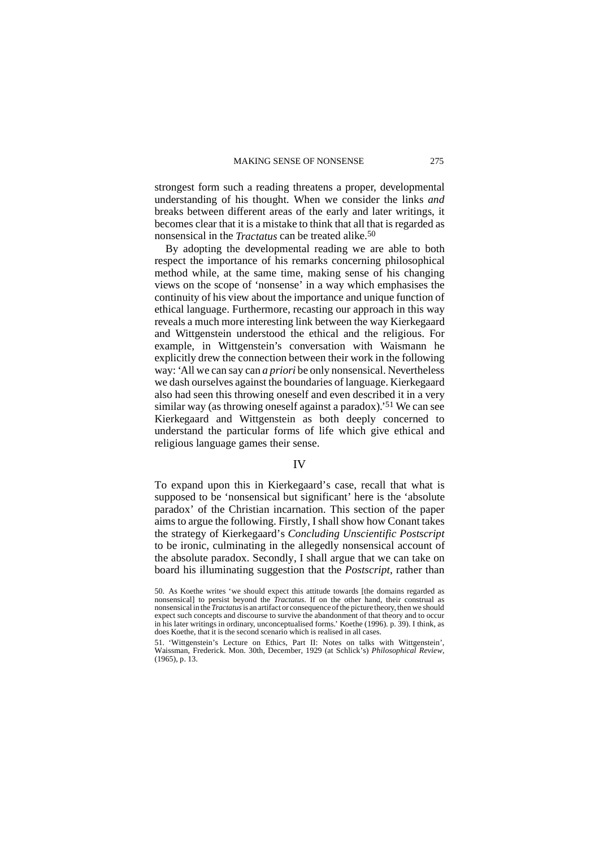strongest form such a reading threatens a proper, developmental understanding of his thought. When we consider the links *and* breaks between different areas of the early and later writings, it becomes clear that it is a mistake to think that all that is regarded as nonsensical in the *Tractatus* can be treated alike.50

By adopting the developmental reading we are able to both respect the importance of his remarks concerning philosophical method while, at the same time, making sense of his changing views on the scope of 'nonsense' in a way which emphasises the continuity of his view about the importance and unique function of ethical language. Furthermore, recasting our approach in this way reveals a much more interesting link between the way Kierkegaard and Wittgenstein understood the ethical and the religious. For example, in Wittgenstein's conversation with Waismann he explicitly drew the connection between their work in the following way: 'All we can say can *a priori* be only nonsensical. Nevertheless we dash ourselves against the boundaries of language. Kierkegaard also had seen this throwing oneself and even described it in a very similar way (as throwing oneself against a paradox).<sup>51</sup> We can see Kierkegaard and Wittgenstein as both deeply concerned to understand the particular forms of life which give ethical and religious language games their sense.

#### IV

To expand upon this in Kierkegaard's case, recall that what is supposed to be 'nonsensical but significant' here is the 'absolute paradox' of the Christian incarnation. This section of the paper aims to argue the following. Firstly, I shall show how Conant takes the strategy of Kierkegaard's *Concluding Unscientific Postscript* to be ironic, culminating in the allegedly nonsensical account of the absolute paradox. Secondly, I shall argue that we can take on board his illuminating suggestion that the *Postscript*, rather than

<sup>50.</sup> As Koethe writes 'we should expect this attitude towards [the domains regarded as nonsensical] to persist beyond the *Tractatus*. If on the other hand, their construal as nonsensical in the *Tractatus* is an artifact or consequence of the picture theory, then we should expect such concepts and discourse to survive the abandonment of that theory and to occur in his later writings in ordinary, unconceptualised forms.' Koethe (1996). p. 39). I think, as does Koethe, that it is the second scenario which is realised in all cases.

<sup>51. &#</sup>x27;Wittgenstein's Lecture on Ethics, Part II: Notes on talks with Wittgenstein', Waissman, Frederick. Mon. 30th, December, 1929 (at Schlick's) *Philosophical Review*, (1965), p. 13.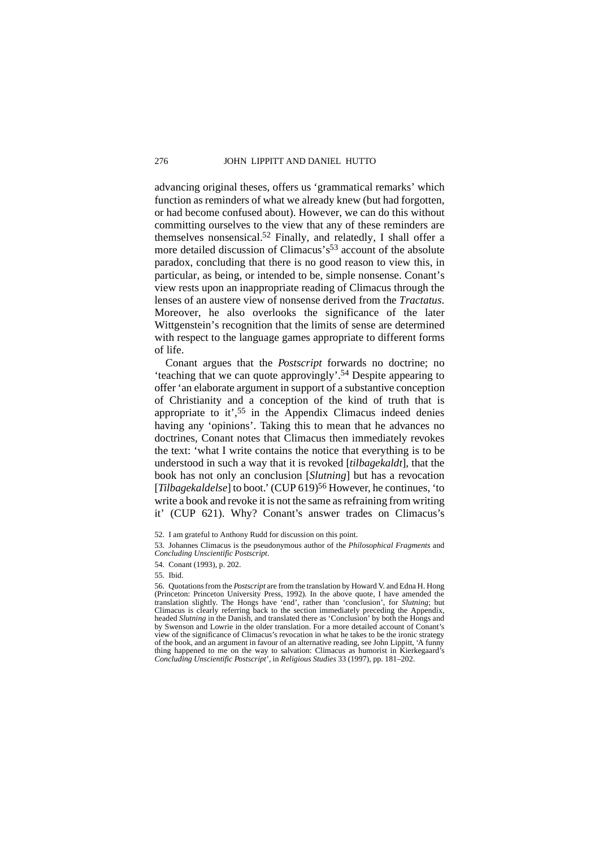advancing original theses, offers us 'grammatical remarks' which function as reminders of what we already knew (but had forgotten, or had become confused about). However, we can do this without committing ourselves to the view that any of these reminders are themselves nonsensical.52 Finally, and relatedly, I shall offer a more detailed discussion of Climacus's<sup>53</sup> account of the absolute paradox, concluding that there is no good reason to view this, in particular, as being, or intended to be, simple nonsense. Conant's view rests upon an inappropriate reading of Climacus through the lenses of an austere view of nonsense derived from the *Tractatus*. Moreover, he also overlooks the significance of the later Wittgenstein's recognition that the limits of sense are determined with respect to the language games appropriate to different forms of life.

Conant argues that the *Postscript* forwards no doctrine; no 'teaching that we can quote approvingly'.54 Despite appearing to offer 'an elaborate argument in support of a substantive conception of Christianity and a conception of the kind of truth that is appropriate to it',<sup>55</sup> in the Appendix Climacus indeed denies having any 'opinions'. Taking this to mean that he advances no doctrines, Conant notes that Climacus then immediately revokes the text: 'what I write contains the notice that everything is to be understood in such a way that it is revoked [*tilbagekaldt*], that the book has not only an conclusion [*Slutning*] but has a revocation [*Tilbagekaldelse*] to boot.' (CUP 619)<sup>56</sup> However, he continues, 'to write a book and revoke it is not the same as refraining from writing it' (CUP 621). Why? Conant's answer trades on Climacus's

52. I am grateful to Anthony Rudd for discussion on this point.

53. Johannes Climacus is the pseudonymous author of the *Philosophical Fragments* and *Concluding Unscientific Postscript*.

54. Conant (1993), p. 202.

55. Ibid.

<sup>56.</sup> Quotations from the *Postscript* are from the translation by Howard V. and Edna H. Hong (Princeton: Princeton University Press, 1992). In the above quote, I have amended the translation slightly. The Hongs have 'end', rather than 'conclusion', for *Slutning*; but Climacus is clearly referring back to the section immediately preceding the Appendix, headed *Slutning* in the Danish, and translated there as 'Conclusion' by both the Hongs and by Swenson and Lowrie in the older translation. For a more detailed account of Conant's view of the significance of Climacus's revocation in what he takes to be the ironic strategy of the book, and an argument in favour of an alternative reading, see John Lippitt, 'A funny thing happened to me on the way to salvation: Climacus as humorist in Kierkegaard's *Concluding Unscientific Postscript*', in *Religious Studies* 33 (1997), pp. 181–202.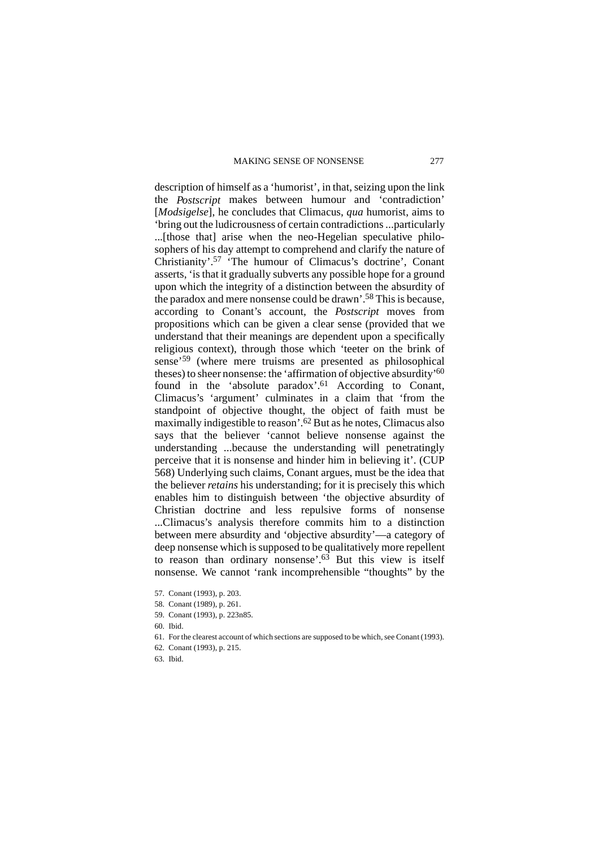description of himself as a 'humorist', in that, seizing upon the link the *Postscript* makes between humour and 'contradiction' [*Modsigelse*], he concludes that Climacus, *qua* humorist, aims to 'bring out the ludicrousness of certain contradictions ...particularly ...[those that] arise when the neo-Hegelian speculative philosophers of his day attempt to comprehend and clarify the nature of Christianity'.57 'The humour of Climacus's doctrine', Conant asserts, 'is that it gradually subverts any possible hope for a ground upon which the integrity of a distinction between the absurdity of the paradox and mere nonsense could be drawn'.58 This is because, according to Conant's account, the *Postscript* moves from propositions which can be given a clear sense (provided that we understand that their meanings are dependent upon a specifically religious context), through those which 'teeter on the brink of sense'59 (where mere truisms are presented as philosophical theses) to sheer nonsense: the 'affirmation of objective absurdity'<sup>60</sup> found in the 'absolute paradox'.<sup>61</sup> According to Conant, Climacus's 'argument' culminates in a claim that 'from the standpoint of objective thought, the object of faith must be maximally indigestible to reason'.62 But as he notes, Climacus also says that the believer 'cannot believe nonsense against the understanding ...because the understanding will penetratingly perceive that it is nonsense and hinder him in believing it'. (CUP 568) Underlying such claims, Conant argues, must be the idea that the believer *retains* his understanding; for it is precisely this which enables him to distinguish between 'the objective absurdity of Christian doctrine and less repulsive forms of nonsense ...Climacus's analysis therefore commits him to a distinction between mere absurdity and 'objective absurdity'—a category of deep nonsense which is supposed to be qualitatively more repellent to reason than ordinary nonsense'. $63$  But this view is itself nonsense. We cannot 'rank incomprehensible "thoughts" by the

- 58. Conant (1989), p. 261.
- 59. Conant (1993), p. 223n85.
- 60. Ibid.
- 61. For the clearest account of which sections are supposed to be which, see Conant (1993).
- 62. Conant (1993), p. 215.
- 63. Ibid.

<sup>57.</sup> Conant (1993), p. 203.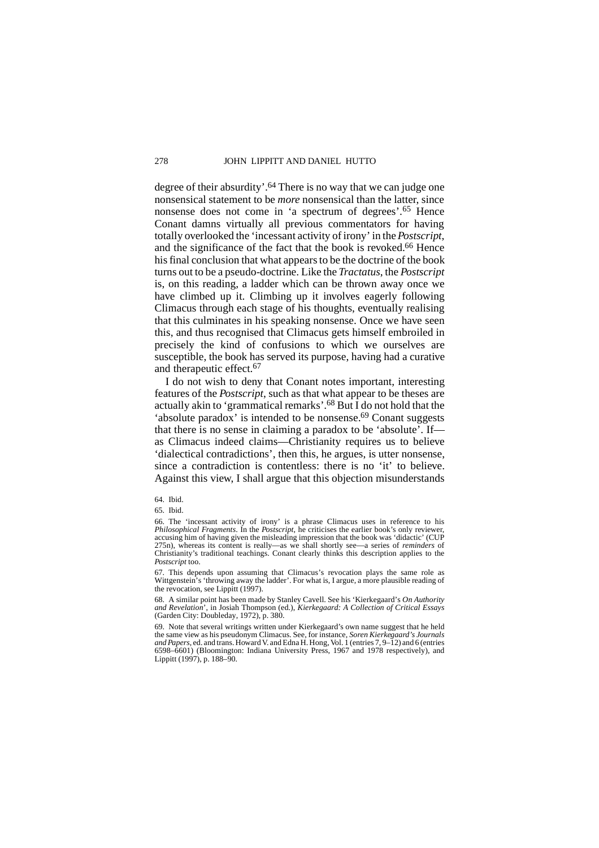degree of their absurdity'.<sup>64</sup> There is no way that we can judge one nonsensical statement to be *more* nonsensical than the latter, since nonsense does not come in 'a spectrum of degrees'.65 Hence Conant damns virtually all previous commentators for having totally overlooked the 'incessant activity of irony' in the *Postscript*, and the significance of the fact that the book is revoked.66 Hence his final conclusion that what appears to be the doctrine of the book turns out to be a pseudo-doctrine. Like the *Tractatus*, the *Postscript* is, on this reading, a ladder which can be thrown away once we have climbed up it. Climbing up it involves eagerly following Climacus through each stage of his thoughts, eventually realising that this culminates in his speaking nonsense. Once we have seen this, and thus recognised that Climacus gets himself embroiled in precisely the kind of confusions to which we ourselves are susceptible, the book has served its purpose, having had a curative and therapeutic effect.67

I do not wish to deny that Conant notes important, interesting features of the *Postscript*, such as that what appear to be theses are actually akin to 'grammatical remarks'.<sup>68</sup> But  $\overline{I}$  do not hold that the 'absolute paradox' is intended to be nonsense.<sup>69</sup> Conant suggests that there is no sense in claiming a paradox to be 'absolute'. If as Climacus indeed claims—Christianity requires us to believe 'dialectical contradictions', then this, he argues, is utter nonsense, since a contradiction is contentless: there is no 'it' to believe. Against this view, I shall argue that this objection misunderstands

64. Ibid.

65. Ibid.

66. The 'incessant activity of irony' is a phrase Climacus uses in reference to his *Philosophical Fragments*. In the *Postscript*, he criticises the earlier book's only reviewer, accusing him of having given the misleading impression that the book was 'didactic' (CUP 275n), whereas its content is really—as we shall shortly see—a series of *reminders* of Christianity's traditional teachings. Conant clearly thinks this description applies to the *Postscript* too.

67. This depends upon assuming that Climacus's revocation plays the same role as Wittgenstein's 'throwing away the ladder'. For what is, I argue, a more plausible reading of the revocation, see Lippitt (1997).

68. A similar point has been made by Stanley Cavell. See his 'Kierkegaard's *On Authority and Revelation*', in Josiah Thompson (ed.), *Kierkegaard: A Collection of Critical Essays* (Garden City: Doubleday, 1972), p. 380.

69. Note that several writings written under Kierkegaard's own name suggest that he held the same view as his pseudonym Climacus. See, for instance, *Soren Kierkegaard's Journals and Papers*, ed. and trans. Howard V. and Edna H. Hong, Vol. 1 (entries 7, 9–12) and 6 (entries 6598–6601) (Bloomington: Indiana University Press, 1967 and 1978 respectively), and Lippitt (1997), p. 188–90.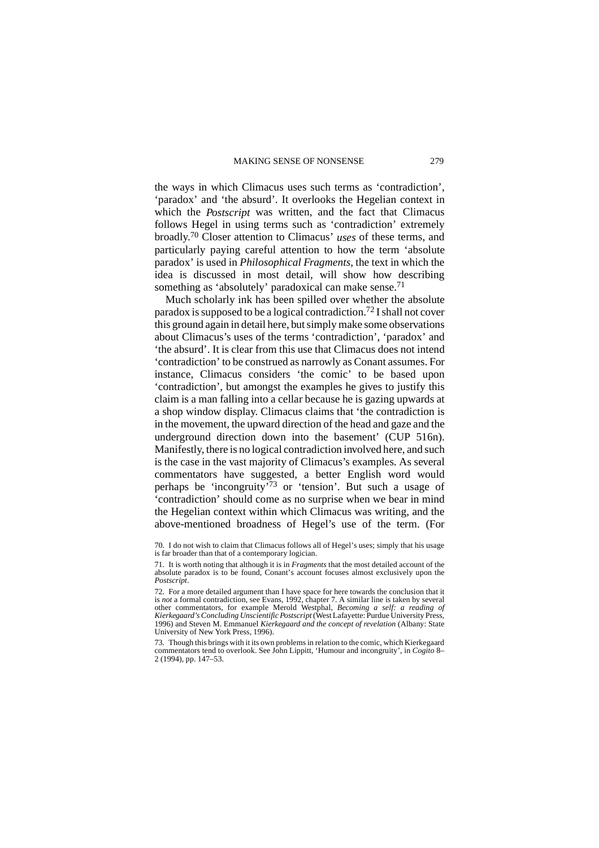the ways in which Climacus uses such terms as 'contradiction', 'paradox' and 'the absurd'. It overlooks the Hegelian context in which the *Postscript* was written, and the fact that Climacus follows Hegel in using terms such as 'contradiction' extremely broadly.70 Closer attention to Climacus' *uses* of these terms, and particularly paying careful attention to how the term 'absolute paradox' is used in *Philosophical Fragments*, the text in which the idea is discussed in most detail, will show how describing something as 'absolutely' paradoxical can make sense.<sup>71</sup>

Much scholarly ink has been spilled over whether the absolute paradox is supposed to be a logical contradiction.<sup>72</sup> I shall not cover this ground again in detail here, but simply make some observations about Climacus's uses of the terms 'contradiction', 'paradox' and 'the absurd'. It is clear from this use that Climacus does not intend 'contradiction' to be construed as narrowly as Conant assumes. For instance, Climacus considers 'the comic' to be based upon 'contradiction', but amongst the examples he gives to justify this claim is a man falling into a cellar because he is gazing upwards at a shop window display. Climacus claims that 'the contradiction is in the movement, the upward direction of the head and gaze and the underground direction down into the basement' (CUP 516n). Manifestly, there is no logical contradiction involved here, and such is the case in the vast majority of Climacus's examples. As several commentators have suggested, a better English word would perhaps be 'incongruity'73 or 'tension'. But such a usage of 'contradiction' should come as no surprise when we bear in mind the Hegelian context within which Climacus was writing, and the above-mentioned broadness of Hegel's use of the term. (For

<sup>70.</sup> I do not wish to claim that Climacus follows all of Hegel's uses; simply that his usage is far broader than that of a contemporary logician.

<sup>71.</sup> It is worth noting that although it is in *Fragments* that the most detailed account of the absolute paradox is to be found, Conant's account focuses almost exclusively upon the *Postscript*.

<sup>72.</sup> For a more detailed argument than I have space for here towards the conclusion that it is *not* a formal contradiction, see Evans, 1992, chapter 7. A similar line is taken by several other commentators, for example Merold Westphal, *Becoming a self: a reading of Kierkegaard's Concluding Unscientific Postscript* (West Lafayette: Purdue University Press, 1996) and Steven M. Emmanuel *Kierkegaard and the concept of revelation* (Albany: State University of New York Press, 1996).

<sup>73.</sup> Though this brings with it its own problems in relation to the comic, which Kierkegaard commentators tend to overlook. See John Lippitt, 'Humour and incongruity', in *Cogito* 8– 2 (1994), pp. 147–53.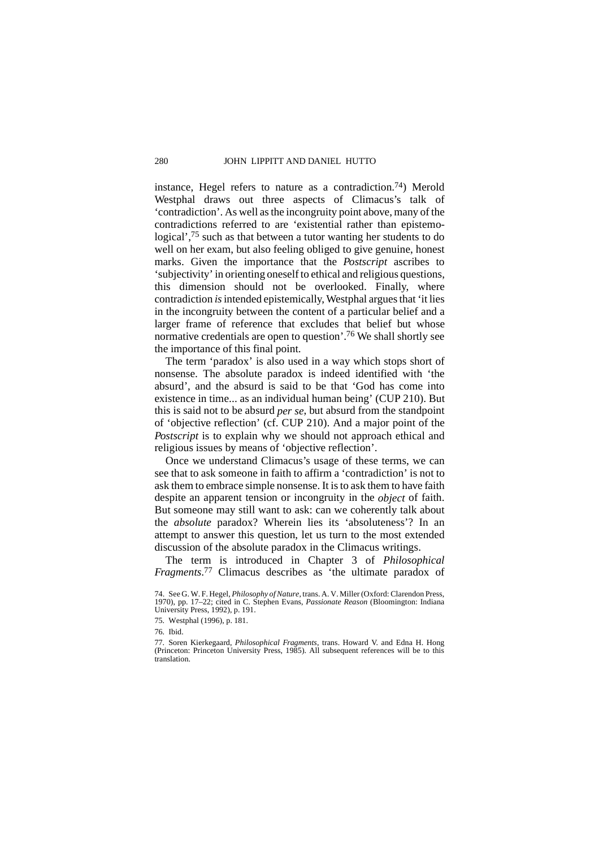instance, Hegel refers to nature as a contradiction.<sup>74</sup>) Merold Westphal draws out three aspects of Climacus's talk of 'contradiction'. As well as the incongruity point above, many of the contradictions referred to are 'existential rather than epistemological',75 such as that between a tutor wanting her students to do well on her exam, but also feeling obliged to give genuine, honest marks. Given the importance that the *Postscript* ascribes to 'subjectivity' in orienting oneself to ethical and religious questions, this dimension should not be overlooked. Finally, where contradiction *is* intended epistemically, Westphal argues that 'it lies in the incongruity between the content of a particular belief and a larger frame of reference that excludes that belief but whose normative credentials are open to question'.76 We shall shortly see the importance of this final point.

The term 'paradox' is also used in a way which stops short of nonsense. The absolute paradox is indeed identified with 'the absurd', and the absurd is said to be that 'God has come into existence in time... as an individual human being' (CUP 210). But this is said not to be absurd *per se*, but absurd from the standpoint of 'objective reflection' (cf. CUP 210). And a major point of the *Postscript* is to explain why we should not approach ethical and religious issues by means of 'objective reflection'.

Once we understand Climacus's usage of these terms, we can see that to ask someone in faith to affirm a 'contradiction' is not to ask them to embrace simple nonsense. It is to ask them to have faith despite an apparent tension or incongruity in the *object* of faith. But someone may still want to ask: can we coherently talk about the *absolute* paradox? Wherein lies its 'absoluteness'? In an attempt to answer this question, let us turn to the most extended discussion of the absolute paradox in the Climacus writings.

The term is introduced in Chapter 3 of *Philosophical Fragments*. 77 Climacus describes as 'the ultimate paradox of

75. Westphal (1996), p. 181.

76. Ibid.

<sup>74.</sup> See G. W. F. Hegel, *Philosophy of Nature*, trans. A. V. Miller (Oxford: Clarendon Press, 1970), pp. 17–22; cited in C. Stephen Evans, *Passionate Reason* (Bloomington: Indiana University Press, 1992), p. 191.

<sup>77.</sup> Soren Kierkegaard, *Philosophical Fragments*, trans. Howard V. and Edna H. Hong (Princeton: Princeton University Press, 1985). All subsequent references will be to this translation.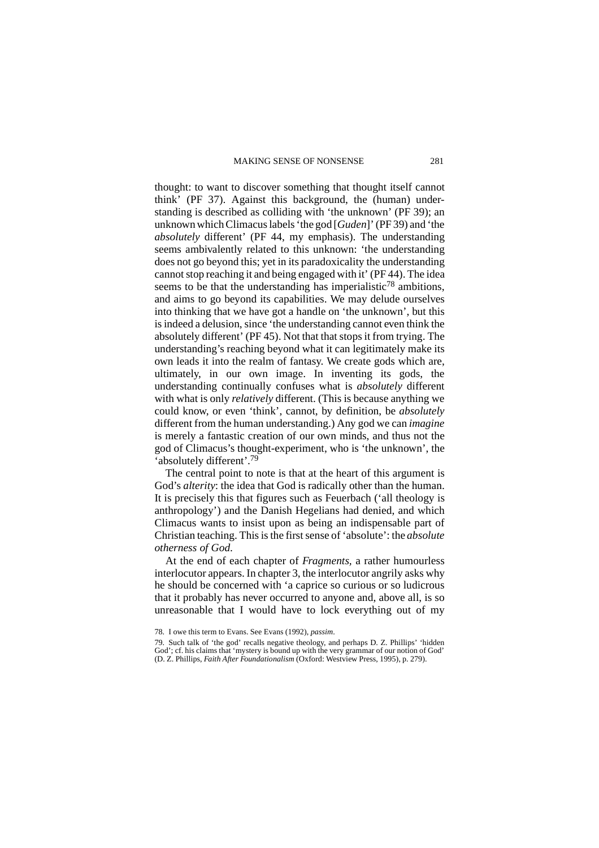thought: to want to discover something that thought itself cannot think' (PF 37). Against this background, the (human) understanding is described as colliding with 'the unknown' (PF 39); an unknown which Climacus labels 'the god [*Guden*]' (PF 39) and 'the *absolutely* different' (PF 44, my emphasis). The understanding seems ambivalently related to this unknown: 'the understanding does not go beyond this; yet in its paradoxicality the understanding cannot stop reaching it and being engaged with it' (PF 44). The idea seems to be that the understanding has imperialistic<sup>78</sup> ambitions, and aims to go beyond its capabilities. We may delude ourselves into thinking that we have got a handle on 'the unknown', but this is indeed a delusion, since 'the understanding cannot even think the absolutely different' (PF 45). Not that that stops it from trying. The understanding's reaching beyond what it can legitimately make its own leads it into the realm of fantasy. We create gods which are, ultimately, in our own image. In inventing its gods, the understanding continually confuses what is *absolutely* different with what is only *relatively* different. (This is because anything we could know, or even 'think', cannot, by definition, be *absolutely* different from the human understanding.) Any god we can *imagine* is merely a fantastic creation of our own minds, and thus not the god of Climacus's thought-experiment, who is 'the unknown', the 'absolutely different'.79

The central point to note is that at the heart of this argument is God's *alterity*: the idea that God is radically other than the human. It is precisely this that figures such as Feuerbach ('all theology is anthropology') and the Danish Hegelians had denied, and which Climacus wants to insist upon as being an indispensable part of Christian teaching. This is the first sense of 'absolute': the *absolute otherness of God*.

At the end of each chapter of *Fragments,* a rather humourless interlocutor appears. In chapter 3, the interlocutor angrily asks why he should be concerned with 'a caprice so curious or so ludicrous that it probably has never occurred to anyone and, above all, is so unreasonable that I would have to lock everything out of my

<sup>78.</sup> I owe this term to Evans. See Evans (1992), *passim*.

<sup>79.</sup> Such talk of 'the god' recalls negative theology, and perhaps D. Z. Phillips' 'hidden God'; cf. his claims that 'mystery is bound up with the very grammar of our notion of God' (D. Z. Phillips, *Faith After Foundationalism* (Oxford: Westview Press, 1995), p. 279).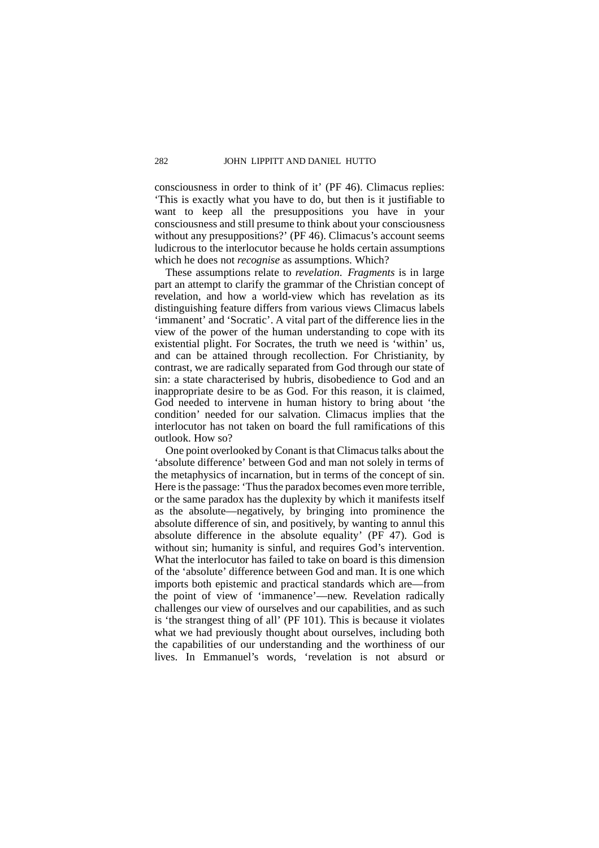consciousness in order to think of it' (PF 46). Climacus replies: 'This is exactly what you have to do, but then is it justifiable to want to keep all the presuppositions you have in your consciousness and still presume to think about your consciousness without any presuppositions?' (PF 46). Climacus's account seems ludicrous to the interlocutor because he holds certain assumptions which he does not *recognise* as assumptions. Which?

These assumptions relate to *revelation*. *Fragments* is in large part an attempt to clarify the grammar of the Christian concept of revelation, and how a world-view which has revelation as its distinguishing feature differs from various views Climacus labels 'immanent' and 'Socratic'. A vital part of the difference lies in the view of the power of the human understanding to cope with its existential plight. For Socrates, the truth we need is 'within' us, and can be attained through recollection. For Christianity, by contrast, we are radically separated from God through our state of sin: a state characterised by hubris, disobedience to God and an inappropriate desire to be as God. For this reason, it is claimed, God needed to intervene in human history to bring about 'the condition' needed for our salvation. Climacus implies that the interlocutor has not taken on board the full ramifications of this outlook. How so?

One point overlooked by Conant is that Climacus talks about the 'absolute difference' between God and man not solely in terms of the metaphysics of incarnation, but in terms of the concept of sin. Here is the passage: 'Thus the paradox becomes even more terrible, or the same paradox has the duplexity by which it manifests itself as the absolute—negatively, by bringing into prominence the absolute difference of sin, and positively, by wanting to annul this absolute difference in the absolute equality' (PF 47). God is without sin; humanity is sinful, and requires God's intervention. What the interlocutor has failed to take on board is this dimension of the 'absolute' difference between God and man. It is one which imports both epistemic and practical standards which are—from the point of view of 'immanence'—new. Revelation radically challenges our view of ourselves and our capabilities, and as such is 'the strangest thing of all' (PF 101). This is because it violates what we had previously thought about ourselves, including both the capabilities of our understanding and the worthiness of our lives. In Emmanuel's words, 'revelation is not absurd or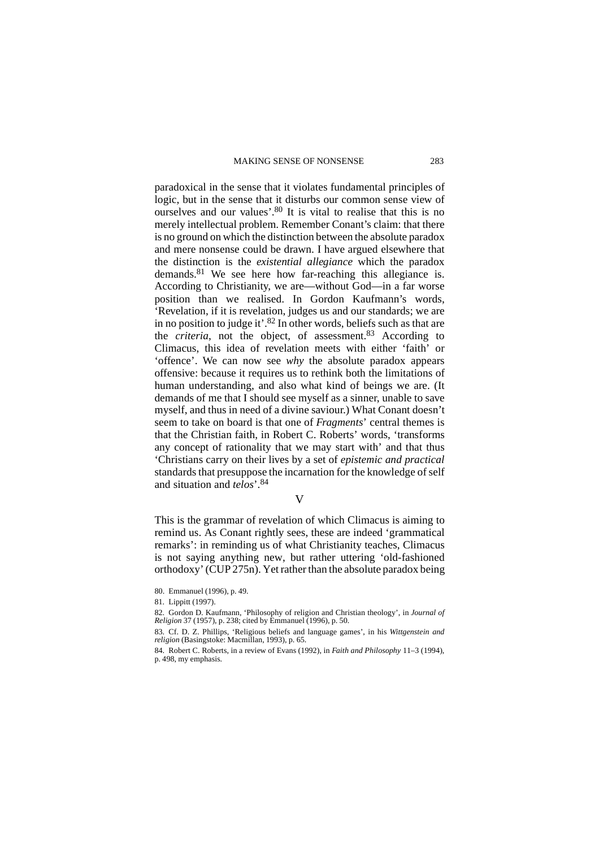paradoxical in the sense that it violates fundamental principles of logic, but in the sense that it disturbs our common sense view of ourselves and our values'.<sup>80</sup> It is vital to realise that this is no merely intellectual problem. Remember Conant's claim: that there is no ground on which the distinction between the absolute paradox and mere nonsense could be drawn. I have argued elsewhere that the distinction is the *existential allegiance* which the paradox demands.<sup>81</sup> We see here how far-reaching this allegiance is. According to Christianity, we are—without God—in a far worse position than we realised. In Gordon Kaufmann's words, 'Revelation, if it is revelation, judges us and our standards; we are in no position to judge it'. $82$  In other words, beliefs such as that are the *criteria*, not the object, of assessment.<sup>83</sup> According to Climacus, this idea of revelation meets with either 'faith' or 'offence'. We can now see *why* the absolute paradox appears offensive: because it requires us to rethink both the limitations of human understanding, and also what kind of beings we are. (It demands of me that I should see myself as a sinner, unable to save myself, and thus in need of a divine saviour.) What Conant doesn't seem to take on board is that one of *Fragments*' central themes is that the Christian faith, in Robert C. Roberts' words, 'transforms any concept of rationality that we may start with' and that thus 'Christians carry on their lives by a set of *epistemic and practical* standards that presuppose the incarnation for the knowledge of self and situation and *telos*'.84

## V

This is the grammar of revelation of which Climacus is aiming to remind us. As Conant rightly sees, these are indeed 'grammatical remarks': in reminding us of what Christianity teaches, Climacus is not saying anything new, but rather uttering 'old-fashioned orthodoxy' (CUP 275n). Yet rather than the absolute paradox being

<sup>80.</sup> Emmanuel (1996), p. 49.

<sup>81.</sup> Lippitt (1997).

<sup>82.</sup> Gordon D. Kaufmann, 'Philosophy of religion and Christian theology', in *Journal of Religion* 37 (1957), p. 238; cited by Emmanuel (1996), p. 50.

<sup>83.</sup> Cf. D. Z. Phillips, 'Religious beliefs and language games', in his *Wittgenstein and religion* (Basingstoke: Macmillan, 1993), p. 65.

<sup>84.</sup> Robert C. Roberts, in a review of Evans (1992), in *Faith and Philosophy* 11–3 (1994), p. 498, my emphasis.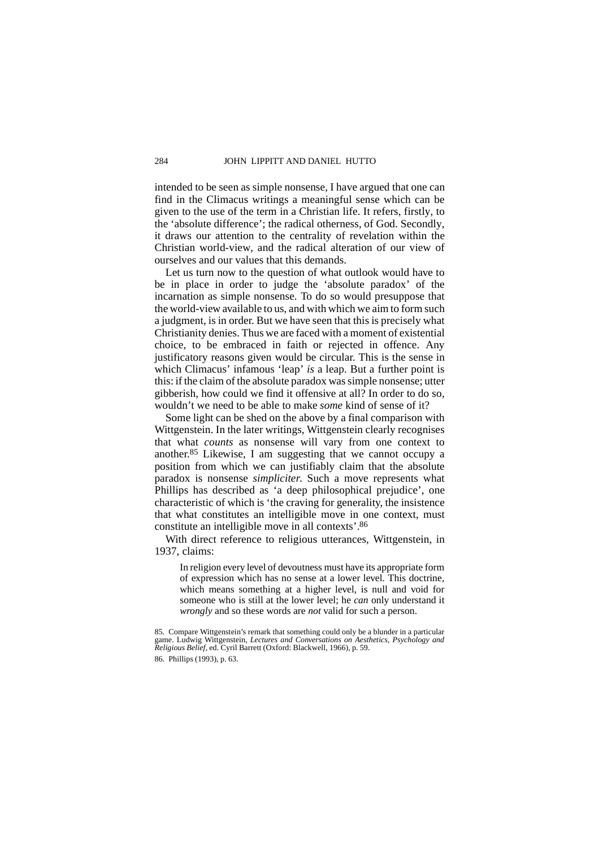intended to be seen as simple nonsense, I have argued that one can find in the Climacus writings a meaningful sense which can be given to the use of the term in a Christian life. It refers, firstly, to the 'absolute difference'; the radical otherness, of God. Secondly, it draws our attention to the centrality of revelation within the Christian world-view, and the radical alteration of our view of ourselves and our values that this demands.

Let us turn now to the question of what outlook would have to be in place in order to judge the 'absolute paradox' of the incarnation as simple nonsense. To do so would presuppose that the world-view available to us, and with which we aim to form such a judgment, is in order. But we have seen that this is precisely what Christianity denies. Thus we are faced with a moment of existential choice, to be embraced in faith or rejected in offence. Any justificatory reasons given would be circular. This is the sense in which Climacus' infamous 'leap' *is* a leap. But a further point is this: if the claim of the absolute paradox was simple nonsense; utter gibberish, how could we find it offensive at all? In order to do so, wouldn't we need to be able to make *some* kind of sense of it?

Some light can be shed on the above by a final comparison with Wittgenstein. In the later writings, Wittgenstein clearly recognises that what *counts* as nonsense will vary from one context to another.85 Likewise, I am suggesting that we cannot occupy a position from which we can justifiably claim that the absolute paradox is nonsense *simpliciter*. Such a move represents what Phillips has described as 'a deep philosophical prejudice', one characteristic of which is 'the craving for generality, the insistence that what constitutes an intelligible move in one context, must constitute an intelligible move in all contexts'.86

With direct reference to religious utterances, Wittgenstein, in 1937, claims:

In religion every level of devoutness must have its appropriate form of expression which has no sense at a lower level. This doctrine, which means something at a higher level, is null and void for someone who is still at the lower level; he *can* only understand it *wrongly* and so these words are *not* valid for such a person.

85. Compare Wittgenstein's remark that something could only be a blunder in a particular game. Ludwig Wittgenstein, *Lectures and Conversations on Aesthetics, Psychology and Religious Belief*, ed. Cyril Barrett (Oxford: Blackwell, 1966), p. 59. 86. Phillips (1993), p. 63.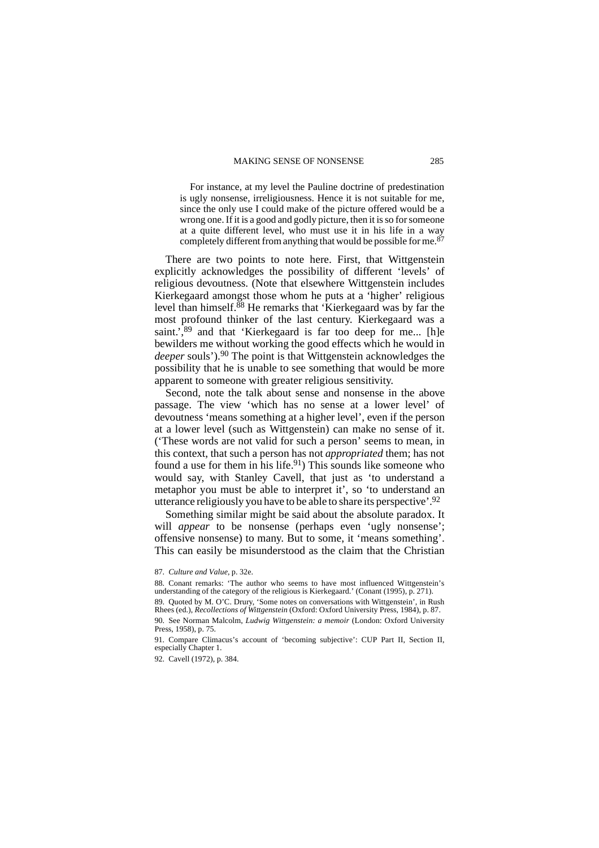For instance, at my level the Pauline doctrine of predestination is ugly nonsense, irreligiousness. Hence it is not suitable for me, since the only use I could make of the picture offered would be a wrong one. If it is a good and godly picture, then it is so for someone at a quite different level, who must use it in his life in a way completely different from anything that would be possible for me.<sup>87</sup>

There are two points to note here. First, that Wittgenstein explicitly acknowledges the possibility of different 'levels' of religious devoutness. (Note that elsewhere Wittgenstein includes Kierkegaard amongst those whom he puts at a 'higher' religious level than himself.<sup>88</sup> He remarks that 'Kierkegaard was by far the most profound thinker of the last century. Kierkegaard was a saint.<sup>'89</sup> and that 'Kierkegaard is far too deep for me... [h]e bewilders me without working the good effects which he would in *deeper* souls').<sup>90</sup> The point is that Wittgenstein acknowledges the possibility that he is unable to see something that would be more apparent to someone with greater religious sensitivity.

Second, note the talk about sense and nonsense in the above passage. The view 'which has no sense at a lower level' of devoutness 'means something at a higher level', even if the person at a lower level (such as Wittgenstein) can make no sense of it. ('These words are not valid for such a person' seems to mean, in this context, that such a person has not *appropriated* them; has not found a use for them in his life.<sup>91</sup>) This sounds like someone who would say, with Stanley Cavell, that just as 'to understand a metaphor you must be able to interpret it', so 'to understand an utterance religiously you have to be able to share its perspective'.  $92$ 

Something similar might be said about the absolute paradox. It will *appear* to be nonsense (perhaps even 'ugly nonsense'; offensive nonsense) to many. But to some, it 'means something'. This can easily be misunderstood as the claim that the Christian

87. *Culture and Value*, p. 32e.

92. Cavell (1972), p. 384.

<sup>88.</sup> Conant remarks: 'The author who seems to have most influenced Wittgenstein's understanding of the category of the religious is Kierkegaard.' (Conant (1995), p. 271).

<sup>89.</sup> Quoted by M. O'C. Drury, 'Some notes on conversations with Wittgenstein', in Rush Rhees (ed.), *Recollections of Wittgenstein* (Oxford: Oxford University Press, 1984), p. 87.

<sup>90.</sup> See Norman Malcolm, *Ludwig Wittgenstein: a memoir* (London: Oxford University Press, 1958), p. 75.

<sup>91.</sup> Compare Climacus's account of 'becoming subjective': CUP Part II, Section II, especially Chapter 1.